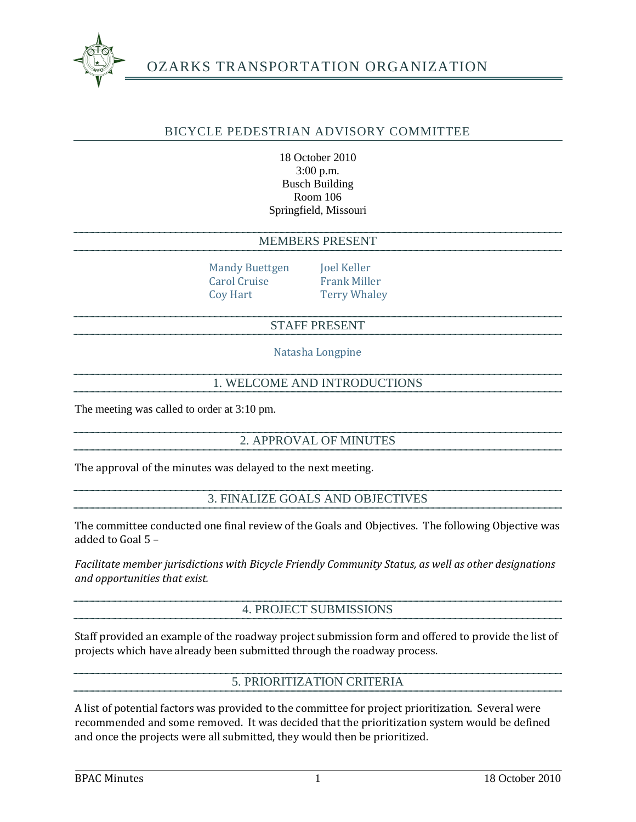

# OZARKS TRANSPORTATION ORGANIZATION

### BICYCLE PEDESTRIAN ADVISORY COMMITTEE

18 October 2010 3:00 p.m. Busch Building Room 106 Springfield, Missouri

#### MEMBERS PRESENT

Mandy Buettgen Joel Keller Carol Cruise Frank Miller Coy Hart Terry Whaley

### STAFF PRESENT

Natasha Longpine

### 1. WELCOME AND INTRODUCTIONS

The meeting was called to order at 3:10 pm.

#### 2. APPROVAL OF MINUTES

The approval of the minutes was delayed to the next meeting.

### 3. FINALIZE GOALS AND OBJECTIVES

The committee conducted one final review of the Goals and Objectives. The following Objective was added to Goal 5 –

*Facilitate member jurisdictions with Bicycle Friendly Community Status, as well as other designations and opportunities that exist.*

#### 4. PROJECT SUBMISSIONS

Staff provided an example of the roadway project submission form and offered to provide the list of projects which have already been submitted through the roadway process.

#### 5. PRIORITIZATION CRITERIA

A list of potential factors was provided to the committee for project prioritization. Several were recommended and some removed. It was decided that the prioritization system would be defined and once the projects were all submitted, they would then be prioritized.